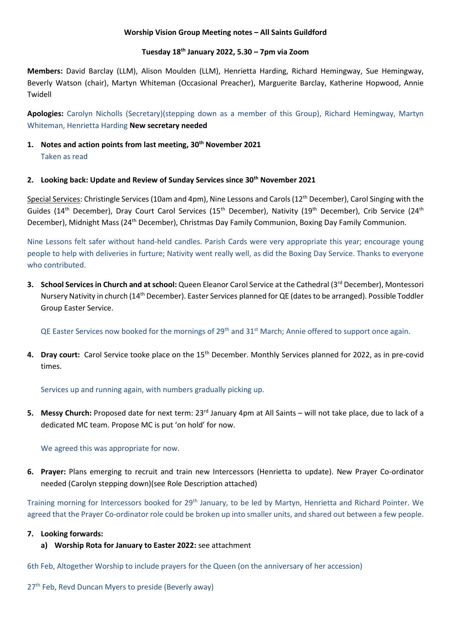### **Worship Vision Group Meeting notes – All Saints Guildford**

### **Tuesday 18th January 2022, 5.30 – 7pm via Zoom**

**Members:** David Barclay (LLM), Alison Moulden (LLM), Henrietta Harding, Richard Hemingway, Sue Hemingway, Beverly Watson (chair), Martyn Whiteman (Occasional Preacher), Marguerite Barclay, Katherine Hopwood, Annie Twidell

**Apologies:** Carolyn Nicholls (Secretary)(stepping down as a member of this Group), Richard Hemingway, Martyn Whiteman, Henrietta Harding **New secretary needed**

# **1. Notes and action points from last meeting, 30th November 2021** Taken as read

### **2. Looking back: Update and Review of Sunday Services since 30th November 2021**

Special Services: Christingle Services (10am and 4pm), Nine Lessons and Carols (12<sup>th</sup> December), Carol Singing with the Guides (14<sup>th</sup> December), Dray Court Carol Services (15<sup>th</sup> December), Nativity (19<sup>th</sup> December), Crib Service (24<sup>th</sup> December), Midnight Mass (24th December), Christmas Day Family Communion, Boxing Day Family Communion.

Nine Lessons felt safer without hand-held candles. Parish Cards were very appropriate this year; encourage young people to help with deliveries in furture; Nativity went really well, as did the Boxing Day Service. Thanks to everyone who contributed.

**3. School Services in Church and at school:** Queen Eleanor Carol Service at the Cathedral (3<sup>rd</sup> December), Montessori Nursery Nativity in church (14th December). Easter Services planned for QE (dates to be arranged). Possible Toddler Group Easter Service.

QE Easter Services now booked for the mornings of  $29<sup>th</sup>$  and  $31<sup>st</sup>$  March; Annie offered to support once again.

**4. Dray court:** Carol Service tooke place on the 15th December. Monthly Services planned for 2022, as in pre-covid times.

Services up and running again, with numbers gradually picking up.

**5. Messy Church:** Proposed date for next term: 23rd January 4pm at All Saints – will not take place, due to lack of a dedicated MC team. Propose MC is put 'on hold' for now.

We agreed this was appropriate for now.

**6. Prayer:** Plans emerging to recruit and train new Intercessors (Henrietta to update). New Prayer Co-ordinator needed (Carolyn stepping down)(see Role Description attached)

Training morning for Intercessors booked for 29<sup>th</sup> January, to be led by Martyn, Henrietta and Richard Pointer. We agreed that the Prayer Co-ordinator role could be broken up into smaller units, and shared out between a few people.

#### **7. Looking forwards:**

## **a) Worship Rota for January to Easter 2022:** see attachment

6th Feb, Altogether Worship to include prayers for the Queen (on the anniversary of her accession)

27<sup>th</sup> Feb, Revd Duncan Myers to preside (Beverly away)